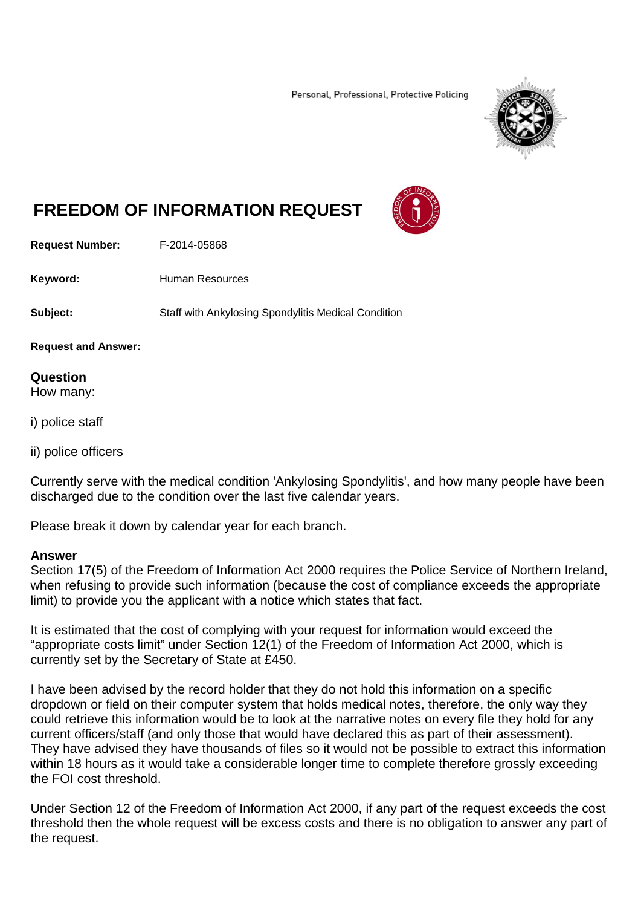Personal, Professional, Protective Policing



## **FREEDOM OF INFORMATION REQUEST**



**Request Number:** F-2014-05868

Keyword: **Human Resources** 

**Subject:** Staff with Ankylosing Spondylitis Medical Condition

**Request and Answer:** 

**Question**  How many:

i) police staff

ii) police officers

Currently serve with the medical condition 'Ankylosing Spondylitis', and how many people have been discharged due to the condition over the last five calendar years.

Please break it down by calendar year for each branch.

## **Answer**

Section 17(5) of the Freedom of Information Act 2000 requires the Police Service of Northern Ireland, when refusing to provide such information (because the cost of compliance exceeds the appropriate limit) to provide you the applicant with a notice which states that fact.

It is estimated that the cost of complying with your request for information would exceed the "appropriate costs limit" under Section 12(1) of the Freedom of Information Act 2000, which is currently set by the Secretary of State at £450.

I have been advised by the record holder that they do not hold this information on a specific dropdown or field on their computer system that holds medical notes, therefore, the only way they could retrieve this information would be to look at the narrative notes on every file they hold for any current officers/staff (and only those that would have declared this as part of their assessment). They have advised they have thousands of files so it would not be possible to extract this information within 18 hours as it would take a considerable longer time to complete therefore grossly exceeding the FOI cost threshold.

Under Section 12 of the Freedom of Information Act 2000, if any part of the request exceeds the cost threshold then the whole request will be excess costs and there is no obligation to answer any part of the request.